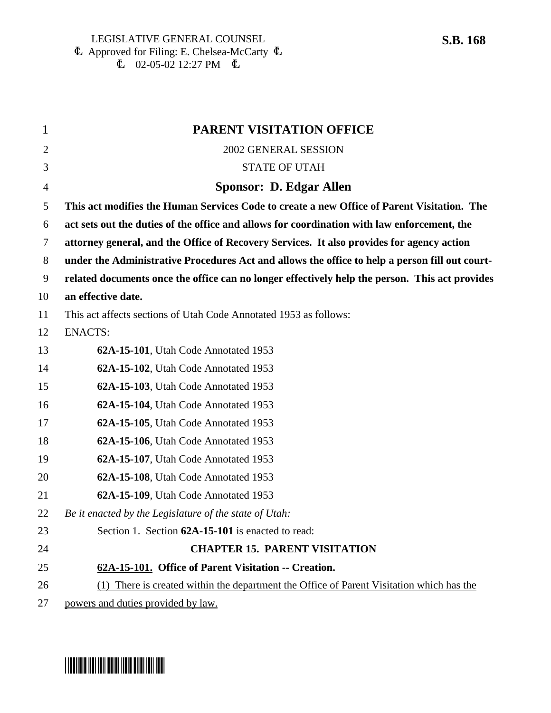| $\mathbf{1}$   | <b>PARENT VISITATION OFFICE</b>                                                                |
|----------------|------------------------------------------------------------------------------------------------|
| $\overline{2}$ | 2002 GENERAL SESSION                                                                           |
| 3              | <b>STATE OF UTAH</b>                                                                           |
| 4              | Sponsor: D. Edgar Allen                                                                        |
| 5              | This act modifies the Human Services Code to create a new Office of Parent Visitation. The     |
| 6              | act sets out the duties of the office and allows for coordination with law enforcement, the    |
| 7              | attorney general, and the Office of Recovery Services. It also provides for agency action      |
| 8              | under the Administrative Procedures Act and allows the office to help a person fill out court- |
| 9              | related documents once the office can no longer effectively help the person. This act provides |
| 10             | an effective date.                                                                             |
| 11             | This act affects sections of Utah Code Annotated 1953 as follows:                              |
| 12             | <b>ENACTS:</b>                                                                                 |
| 13             | 62A-15-101, Utah Code Annotated 1953                                                           |
| 14             | 62A-15-102, Utah Code Annotated 1953                                                           |
| 15             | 62A-15-103, Utah Code Annotated 1953                                                           |
| 16             | 62A-15-104, Utah Code Annotated 1953                                                           |
| 17             | 62A-15-105, Utah Code Annotated 1953                                                           |
| 18             | 62A-15-106, Utah Code Annotated 1953                                                           |
| 19             | 62A-15-107, Utah Code Annotated 1953                                                           |
| 20             | 62A-15-108, Utah Code Annotated 1953                                                           |
| 21             | 62A-15-109, Utah Code Annotated 1953                                                           |
| 22             | Be it enacted by the Legislature of the state of Utah:                                         |
| 23             | Section 1. Section 62A-15-101 is enacted to read:                                              |
| 24             | <b>CHAPTER 15. PARENT VISITATION</b>                                                           |
| 25             | 62A-15-101. Office of Parent Visitation -- Creation.                                           |
| 26             | (1) There is created within the department the Office of Parent Visitation which has the       |
| 27             | powers and duties provided by law.                                                             |

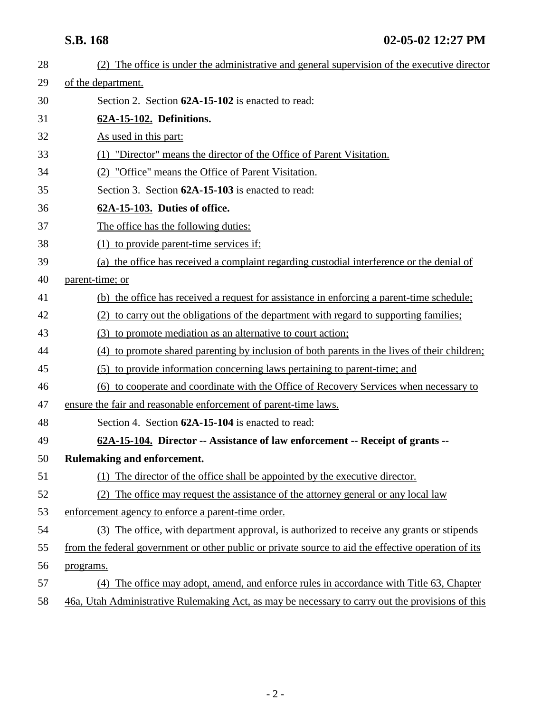| 28 | (2) The office is under the administrative and general supervision of the executive director        |
|----|-----------------------------------------------------------------------------------------------------|
| 29 | of the department.                                                                                  |
| 30 | Section 2. Section 62A-15-102 is enacted to read:                                                   |
| 31 | 62A-15-102. Definitions.                                                                            |
| 32 | As used in this part:                                                                               |
| 33 | (1) "Director" means the director of the Office of Parent Visitation.                               |
| 34 | (2) "Office" means the Office of Parent Visitation.                                                 |
| 35 | Section 3. Section 62A-15-103 is enacted to read:                                                   |
| 36 | 62A-15-103. Duties of office.                                                                       |
| 37 | The office has the following duties:                                                                |
| 38 | $(1)$ to provide parent-time services if:                                                           |
| 39 | (a) the office has received a complaint regarding custodial interference or the denial of           |
| 40 | parent-time; or                                                                                     |
| 41 | (b) the office has received a request for assistance in enforcing a parent-time schedule;           |
| 42 | (2) to carry out the obligations of the department with regard to supporting families;              |
| 43 | (3) to promote mediation as an alternative to court action;                                         |
| 44 | (4) to promote shared parenting by inclusion of both parents in the lives of their children;        |
| 45 | (5) to provide information concerning laws pertaining to parent-time; and                           |
| 46 | (6) to cooperate and coordinate with the Office of Recovery Services when necessary to              |
| 47 | ensure the fair and reasonable enforcement of parent-time laws.                                     |
| 48 | Section 4. Section 62A-15-104 is enacted to read:                                                   |
| 49 | 62A-15-104. Director -- Assistance of law enforcement -- Receipt of grants --                       |
| 50 | Rulemaking and enforcement.                                                                         |
| 51 | (1) The director of the office shall be appointed by the executive director.                        |
| 52 | The office may request the assistance of the attorney general or any local law<br>(2)               |
| 53 | enforcement agency to enforce a parent-time order.                                                  |
| 54 | (3) The office, with department approval, is authorized to receive any grants or stipends           |
| 55 | from the federal government or other public or private source to aid the effective operation of its |
| 56 | programs.                                                                                           |
| 57 | (4) The office may adopt, amend, and enforce rules in accordance with Title 63, Chapter             |
| 58 | 46a, Utah Administrative Rulemaking Act, as may be necessary to carry out the provisions of this    |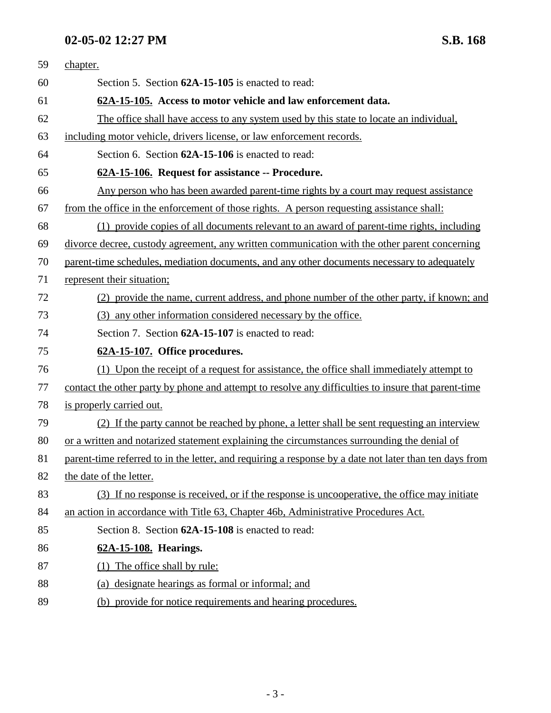# **02-05-02 12:27 PM S.B. 168**

| 59 | chapter.                                                                                               |
|----|--------------------------------------------------------------------------------------------------------|
| 60 | Section 5. Section 62A-15-105 is enacted to read:                                                      |
| 61 | 62A-15-105. Access to motor vehicle and law enforcement data.                                          |
| 62 | The office shall have access to any system used by this state to locate an individual,                 |
| 63 | including motor vehicle, drivers license, or law enforcement records.                                  |
| 64 | Section 6. Section 62A-15-106 is enacted to read:                                                      |
| 65 | 62A-15-106. Request for assistance -- Procedure.                                                       |
| 66 | Any person who has been awarded parent-time rights by a court may request assistance                   |
| 67 | from the office in the enforcement of those rights. A person requesting assistance shall:              |
| 68 | (1) provide copies of all documents relevant to an award of parent-time rights, including              |
| 69 | divorce decree, custody agreement, any written communication with the other parent concerning          |
| 70 | parent-time schedules, mediation documents, and any other documents necessary to adequately            |
| 71 | represent their situation;                                                                             |
| 72 | (2) provide the name, current address, and phone number of the other party, if known; and              |
| 73 | (3) any other information considered necessary by the office.                                          |
| 74 | Section 7. Section 62A-15-107 is enacted to read:                                                      |
| 75 | 62A-15-107. Office procedures.                                                                         |
| 76 | (1) Upon the receipt of a request for assistance, the office shall immediately attempt to              |
| 77 | contact the other party by phone and attempt to resolve any difficulties to insure that parent-time    |
| 78 | is properly carried out.                                                                               |
| 79 | (2) If the party cannot be reached by phone, a letter shall be sent requesting an interview            |
| 80 | or a written and notarized statement explaining the circumstances surrounding the denial of            |
| 81 | parent-time referred to in the letter, and requiring a response by a date not later than ten days from |
| 82 | the date of the letter.                                                                                |
| 83 | (3) If no response is received, or if the response is uncooperative, the office may initiate           |
| 84 | an action in accordance with Title 63, Chapter 46b, Administrative Procedures Act.                     |
| 85 | Section 8. Section 62A-15-108 is enacted to read:                                                      |
| 86 | 62A-15-108. Hearings.                                                                                  |
| 87 | (1) The office shall by rule:                                                                          |
| 88 | (a) designate hearings as formal or informal; and                                                      |
| 89 | (b) provide for notice requirements and hearing procedures.                                            |